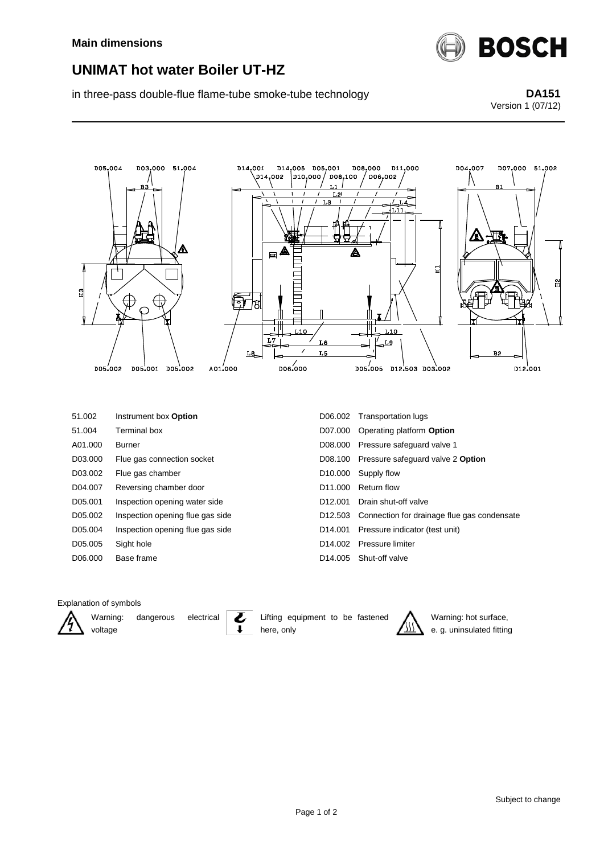

## **UNIMAT hot water Boiler UT-HZ**

in three-pass double-flue flame-tube smoke-tube technology **DA151**

## Version 1 (07/12)



## Explanation of symbols



Warning: dangerous electrical voltage

Lifting equipment to be fastened here, only



Warning: hot surface, e. g. uninsulated fitting